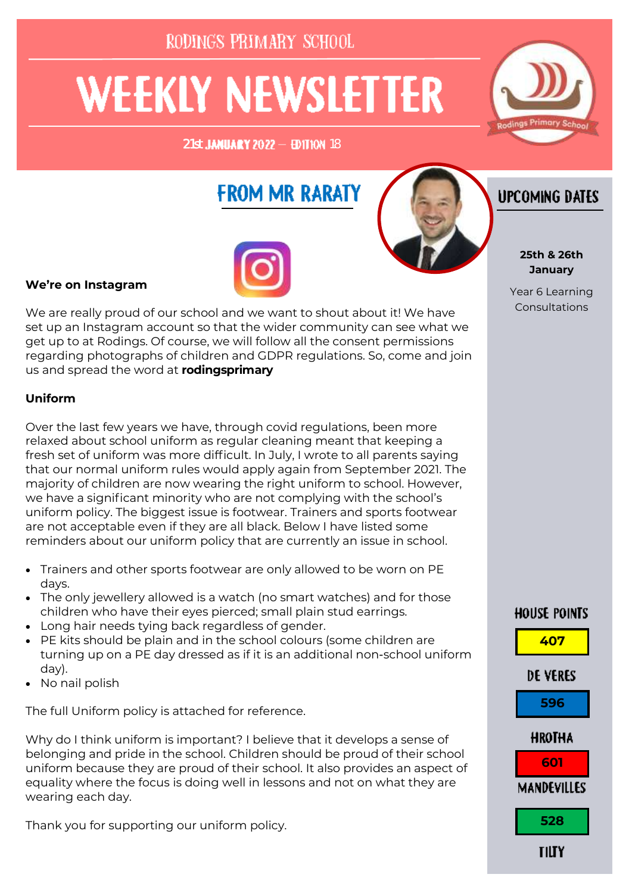RODINGS PRIMARY SCHOOL

# **WEEKLY NEWSLETTER**

 $21$ st **JANUARY 2022 - EDITION** 18



# **FROM MR RARATY**



### **We're on Instagram**

We are really proud of our school and we want to shout about it! We have set up an Instagram account so that the wider community can see what we get up to at Rodings. Of course, we will follow all the consent permissions regarding photographs of children and GDPR regulations. So, come and join us and spread the word at **rodingsprimary**

### **Uniform**

Over the last few years we have, through covid regulations, been more relaxed about school uniform as regular cleaning meant that keeping a fresh set of uniform was more difficult. In July, I wrote to all parents saying that our normal uniform rules would apply again from September 2021. The majority of children are now wearing the right uniform to school. However, we have a significant minority who are not complying with the school's uniform policy. The biggest issue is footwear. Trainers and sports footwear are not acceptable even if they are all black. Below I have listed some reminders about our uniform policy that are currently an issue in school.

- Trainers and other sports footwear are only allowed to be worn on PE days.
- The only jewellery allowed is a watch (no smart watches) and for those children who have their eyes pierced; small plain stud earrings.
- Long hair needs tying back regardless of gender.
- PE kits should be plain and in the school colours (some children are turning up on a PE day dressed as if it is an additional non-school uniform day).
- No nail polish

The full Uniform policy is attached for reference.

Why do I think uniform is important? I believe that it develops a sense of belonging and pride in the school. Children should be proud of their school uniform because they are proud of their school. It also provides an aspect of equality where the focus is doing well in lessons and not on what they are wearing each day.

Thank you for supporting our uniform policy.



# **UPCOMING DATES**

#### **25th & 26th January**

Year 6 Learning Consultations

## **HOUSE POINTS**

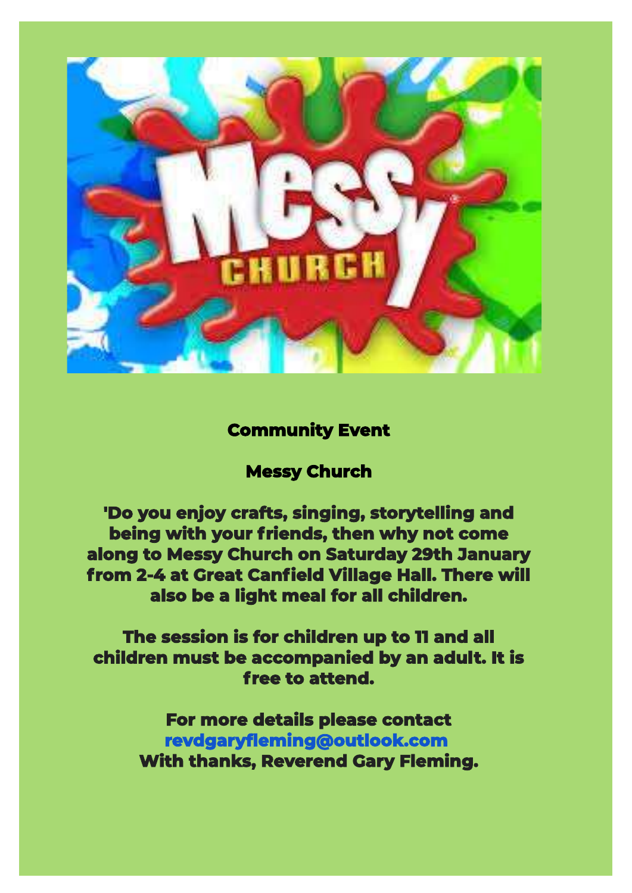

## **Community Event**

## **Messy Church**

**'Do you enjoy crafts, singing, storytelling and being with your friends, then why not come along to Messy Church on Saturday 29th January from 2-4 at Great Canfield Village Hall. There will also be a light meal for all children.** 

**The session is for children up to 11 and all children must be accompanied by an adult. It is free to attend.** 

> **For more details please contact revdgaryfleming@outlook.com With thanks, Reverend Gary Fleming.**